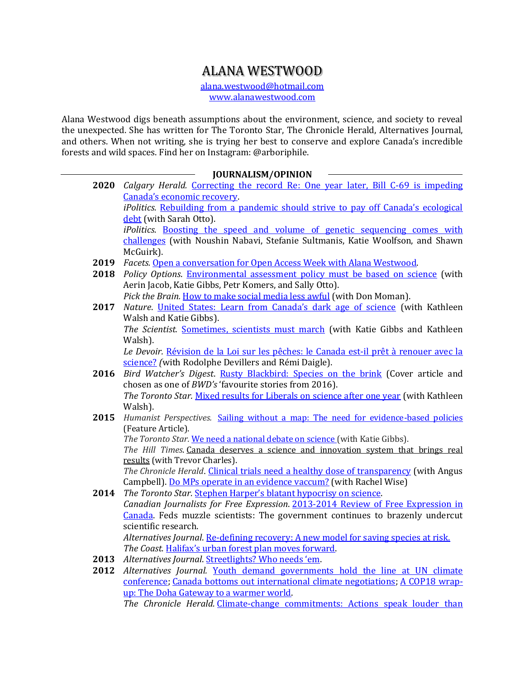## ALANA WESTWOOD

[alana.westwood@hotmail.com](mailto:alana.westwood@hotmail.com) www.alanawestwood.com

Alana Westwood digs beneath assumptions about the environment, science, and society to reveal the unexpected. She has written for The Toronto Star, The Chronicle Herald, Alternatives Journal, and others. When not writing, she is trying her best to conserve and explore Canada's incredible forests and wild spaces. Find her on Instagram: @arboriphile.

## **JOURNALISM/OPINION**

| 2020 | Calgary Herald. Correcting the record Re: One year later, Bill C-69 is impeding       |
|------|---------------------------------------------------------------------------------------|
|      | Canada's economic recovery.                                                           |
|      | iPolitics. Rebuilding from a pandemic should strive to pay off Canada's ecological    |
|      | debt (with Sarah Otto).                                                               |
|      | <i>iPolitics.</i> Boosting the speed and volume of genetic sequencing comes with      |
|      | challenges (with Noushin Nabavi, Stefanie Sultmanis, Katie Woolfson, and Shawn        |
|      | McGuirk).                                                                             |
| 2019 | Facets. Open a conversation for Open Access Week with Alana Westwood.                 |
| 2018 | Policy Options. Environmental assessment policy must be based on science (with        |
|      | Aerin Jacob, Katie Gibbs, Petr Komers, and Sally Otto).                               |
|      | Pick the Brain. How to make social media less awful (with Don Moman).                 |
| 2017 | Nature. United States: Learn from Canada's dark age of science (with Kathleen         |
|      | Walsh and Katie Gibbs).                                                               |
|      | The Scientist. Sometimes, scientists must march (with Katie Gibbs and Kathleen        |
|      | Walsh).                                                                               |
|      | Le Devoir. Révision de la Loi sur les pêches: le Canada est-il prêt à renouer avec la |
|      | science? (with Rodolphe Devillers and Rémi Daigle).                                   |
| 2016 | Bird Watcher's Digest. Rusty Blackbird: Species on the brink (Cover article and       |
|      | chosen as one of BWD's 'favourite stories from 2016).                                 |
|      | The Toronto Star. Mixed results for Liberals on science after one year (with Kathleen |
|      | Walsh).                                                                               |
| 2015 | Humanist Perspectives. Sailing without a map: The need for evidence-based policies    |
|      | (Feature Article).                                                                    |
|      | The Toronto Star. We need a national debate on science (with Katie Gibbs).            |
|      | The Hill Times. Canada deserves a science and innovation system that brings real      |
|      | results (with Trevor Charles).                                                        |
|      | The Chronicle Herald. Clinical trials need a healthy dose of transparency (with Angus |
|      | Campbell). Do MPs operate in an evidence vaccum? (with Rachel Wise)                   |
| 2014 | The Toronto Star. Stephen Harper's blatant hypocrisy on science.                      |
|      | Canadian Journalists for Free Expression. 2013-2014 Review of Free Expression in      |
|      | Canada. Feds muzzle scientists: The government continues to brazenly undercut         |
|      | scientific research.                                                                  |
|      | Alternatives Journal. Re-defining recovery: A new model for saving species at risk.   |
|      | The Coast. Halifax's urban forest plan moves forward.                                 |
| 2013 | Alternatives Journal. Streetlights? Who needs 'em.                                    |
| 2012 | Alternatives Journal. Youth demand governments hold the line at UN climate            |

[conference;](http://www.alternativesjournal.ca/community/blogs/current-events/youth-demand-governments-hold-line-un-climate-conference) [Canada bottoms out international climate negotiations;](http://www.alternativesjournal.ca/community/blogs/current-events/canada-bottoms-out-international-climate-negotiations) [A COP18 wrap](http://www.alternativesjournal.ca/community/blogs/current-events/cop18-wrap-doha-gateway-warmer-world)[up: The Doha Gateway to a warmer world.](http://www.alternativesjournal.ca/community/blogs/current-events/cop18-wrap-doha-gateway-warmer-world) *The Chronicle Herald.* [Climate-change commitments: Actions speak louder than](http://thechronicleherald.ca/opinion/219367-climate-change-commitments-actions-speak-louder-than-words)